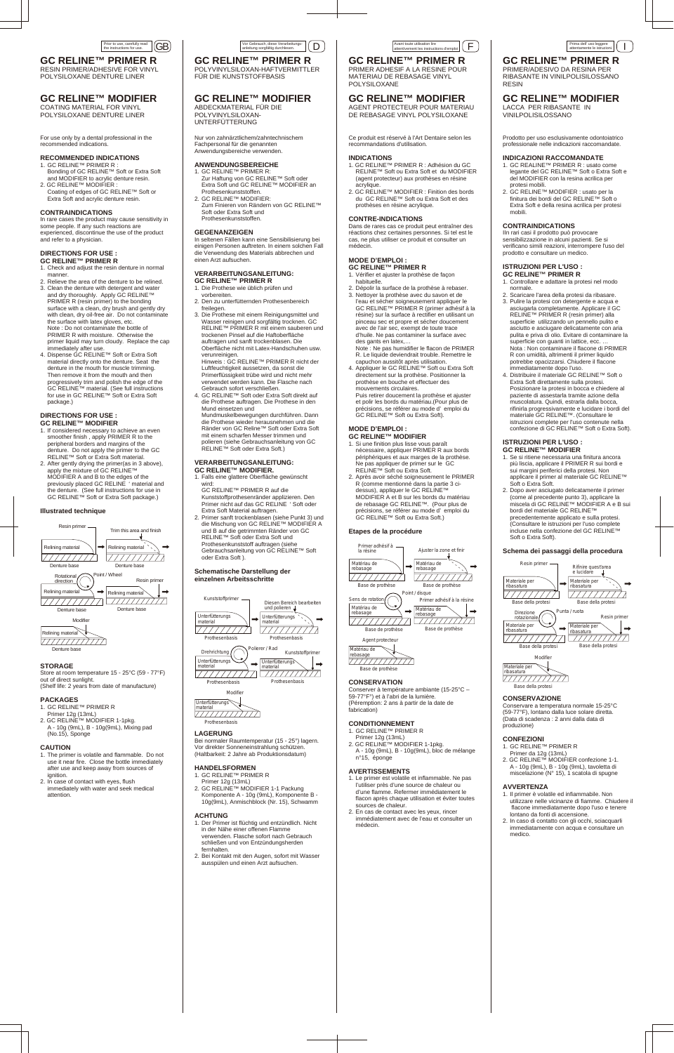For use only by a dental professional in the recommended indications.

### **RECOMMENDED INDICATIONS**

- 1. GC RELINE™ PRIMER R : Bonding of GC RELINE™ Soft or Extra Soft and MODIFIER to acrylic denture resin.
- 2. GC RELINE™ MODIFIER : Coating of edges of GC RELINE™ Soft or Extra Soft and acrylic denture resin.

### **CONTRAINDICATIONS**

In rare cases the product may cause sensitivity in some people. If any such reactions are experienced, discontinue the use of the product and refer to a physician.

#### **DIRECTIONS FOR USE : GC RELINE™ PRIMER R**

- 1. Check and adjust the resin denture in normal manner.
- 2. Relieve the area of the denture to be relined. 3. Clean the denture with detergent and water and dry thoroughly. Apply GC RELINE™ PRIMER R (resin primer) to the bonding surface with a clean, dry brush and gently dry with clean, dry oil-free air. Do not contaminate the surface with latex gloves, etc. Note : Do not contaminate the bottle of PRIMER R with moisture. Otherwise the primer liquid may turn cloudy. Replace the cap immediately after use.
- 4. Dispense GC RELINE™ Soft or Extra Soft material directly onto the denture. Seat the denture in the mouth for muscle trimming. Then remove it from the mouth and then progressively trim and polish the edge of the GC RELINE™ material. (See full instructions for use in GC RELINE™ Soft or Extra Soft package.)

### **DIRECTIONS FOR USE : GC RELINE™ MODIFIER**

- 1. If considered necessary to achieve an even smoother finish , apply PRIMER R to the peripheral borders and margins of the denture. Do not apply the primer to the GC RELINE™ Soft or Extra Soft material.
- 2. After gently drying the primer(as in 3 above), apply the mixture of GC RELINE™ MODIFIER A and B to the edges of the previously placed GC RELINE ' material and the denture. (See full instructions for use in GC RELINE™ Soft or Extra Soft package.)

#### **Illustrated technique**

### **STORAGE**

Store at room temperature 15 - 25°C (59 - 77°F) out of direct sunlight. (Shelf life: 2 years from date of manufacture)

### **PACKAGES**

- 1. GC RELINE™ PRIMER R
- Primer 12g (13mL)
- 2. GC RELINE™ MODIFIER 1-1pkg. A - 10g (9mL), B - 10g(9mL), Mixing pad (No.15), Sponge

### **CAUTION**

- 1. The primer is volatile and flammable. Do not use it near fire. Close the bottle immediately after use and keep away from sources of ignition.
- 2. In case of contact with eyes, flush immediately with water and seek medical attention.

### **GC RELINE™ PRIMER R** RESIN PRIMER/ADHESIVE FOR VINYL

POLYSILOXANE DENTURE LINER

### **GC RELINE™ MODIFIER**

COATING MATERIAL FOR VINYL POLYSILOXANE DENTURE LINER





Nur von zahnärztlichem/zahntechnischem Fachpersonal für die genannten Anwendungsbereiche verwenden. **ANWENDUNGSBEREICHE** 1. GC RELINE™ PRIMER R:

 Zur Haftung von GC RELINE™ Soft oder Extra Soft und GC RELINE™ MODIFIER an

 Prothesenkunststoffen. 2. GC RELINE™ MODIFIER:

- **GC RELINE™ PRIMER R** 1. Vérifier et ajuster la prothèse de façon habituelle.
- 2. Dépolir la surface de la prothèse à rebaser. 3. Nettoyer la prothèse avec du savon et de l'eau et sécher soigneusement appliquer le GC RELINE™ PRIMER R (primer adhésif à la résine) sur la surface à rectifier en utilisant un pinceau sec et propre et sécher doucement avec de l'air sec, exempt de toute trace d'huile. Ne pas contaminer la surface avec des gants en latex,… Note : Ne pas humidifier le flacon de PRIMER

Zum Finieren von Rändern von GC RELINE™

 Soft oder Extra Soft und Prothesenkunststoffen. **GEGENANZEIGEN**

In seltenen Fällen kann eine Sensibilisierung bei einigen Personen auftreten. In einem solchen Fall die Verwendung des Materials abbrechen und

einen Arzt aufsuchen.

**VERARBEITUNGSANLEITUNG: GC RELINE™ PRIMER R** 1. Die Prothese wie üblich prüfen und

vorbereiten.

2. Den zu unterfütternden Prothesenbereich

freilegen.

3. Die Prothese mit einem Reinigungsmittel und Wasser reinigen und sorgfältig trocknen. GC RELINE™ PRIMER R mit einem sauberen und trockenen Pinsel auf die Haftoberfläche auftragen und sanft trockenblasen. Die Oberfläche nicht mit Latex-Handschuhen usw.

verunreinigen.

 Hinweis : GC RELINE™ PRIMER R nicht der Luftfeuchtigkeit aussetzen, da sonst die Primerflüssigkeit trübe wird und nicht mehr verwendet werden kann. Die Flasche nach

> 2. GC RELINE™ MODIFIER 1-1pkg. A - 10g (9mL), B - 10g(9mL), bloc de mélange

Prima dell' uso leggere<br>attentamente le istruzioni.

Gebrauch sofort verschließen.

4. GC RELINE™ Soft oder Extra Soft direkt auf die Prothese auftragen. Die Prothese in den

Mund einsetzen und

### **GC RELINE™ PRIMER R** Avant toute utilisation lire<br>attentivement les instructions d'emploi  $\left(\begin{array}{c} \rule{0pt}{17pt}\quad \end{array}\right)$

 Mundmuskelbewegungen durchführen. Dann die Prothese wieder herausnehmen und die Ränder von GC Reline™ Soft oder Extra Soft mit einem scharfen Messer trimmen und polieren (siehe Gebrauchsanleitung von GC RELINE™ Soft oder Extra Soft.) **VERARBEITUNGSANLEITUNG: GC RELINE™ MODIFIER.**

1. Falls eine glattere Oberfläche gewünscht

wird:

 GC RELINE™ PRIMER R auf die Kunststoffprothesenränder applizieren. Den Primer nicht auf das GC RELINE ' Soft oder

Extra Soft Material auftragen.

2. Primer sanft trockenblasen (siehe Punkt 3) und die Mischung von GC RELINE™ MODIFIER A und B auf die getrimmten Ränder von GC RELINE™ Soft oder Extra Soft und Prothesenkunststoff auftragen (siehe Gebrauchsanleitung von GC RELINE™ Soft

oder Extra Soft ).

**Schematische Darstellung der einzelnen Arbeitsschritte** 

**LAGERUNG**

**material** 

Bei normaler Raumtemperatur (15 - 25°) lagern.

Vor direkter Sonneneinstrahlung schützen. (Haltbarkeit: 2 Jahre ab Produktionsdatum)

### **HANDELSFORMEN**

 $P$ ungs

- 1. GC RELINE™ PRIMER R
- Primer 12g (13mL)

2. GC RELINE™ MODIFIER 1-1 Packung Komponente A - 10g (9mL), Komponente B - 10g(9mL), Anmischblock (Nr. 15), Schwamm

### **ACHTUNG**

**GC RELINE™ PRIMER R** POLYVINYLSILOXAN-HAFTVERMITTLER

FÜR DIE KUNSTSTOFFBASIS

**GC RELINE™ MODIFIER**

ABDECKMATERIAL FÜR DIE POLYVINYLSILOXAN-UNTERFÜTTERUNG

> Diesen Bereich bearbeiten und polieren

Ce produit est réservé à l'Art Dentaire selon les recommandations d'utilisation.

#### **INDICATIONS**

- 1. GC RELINE™ PRIMER R : Adhésion du GC RELINE™ Soft ou Extra Soft et du MODIFIER (agent protecteur) aux prothèses en résine acrylique.
- 2. GC RELINE™ MODIFIER : Finition des bords du GC RELINE™ Soft ou Extra Soft et des prothèses en résine acrylique.

### **CONTRE-INDICATIONS**

Dans de rares cas ce produit peut entraîner des réactions chez certaines personnes. Si tel est le cas, ne plus utiliser ce produit et consulter un médecin.

### **MODE D'EMPLOI :**

- 1. Der Primer ist flüchtig und entzündlich. Nicht in der Nähe einer offenen Flamme verwenden. Flasche sofort nach Gebrauch schließen und von Entzündungsherden fernhalten.
- 2. Bei Kontakt mit den Augen, sofort mit Wasser ausspülen und einen Arzt aufsuchen.
- n°15, éponge

 R. Le liquide deviendrait trouble. Remettre le capuchon aussitôt après utilisation.

4. Appliquer le GC RELINE™ Soft ou Extra Soft directement sur la prothèse. Positionner la prothèse en bouche et effectuer des mouvements circulaires. Puis retirer doucement la prothèse et ajuster et polir les bords du matériau.(Pour plus de précisions, se référer au mode d' emploi du GC RELINE™ Soft ou Extra Soft).

### **MODE D'EMPLOI :**

**GC RELINE™ MODIFIER**

- 1. Si une finition plus lisse vous paraît nécessaire, appliquer PRIMER R aux bords périphériques et aux marges de la prothèse. Ne pas appliquer de primer sur le GC RELINE™ Soft ou Extra Soft.
- 2. Après avoir séché soigneusement le PRIMER R (comme mentionné dans la partie 3 ci dessus), appliquer le GC RELINE™ MODIFIER A et B sur les bords du matériau de rebasage GC RELINE™. (Pour plus de précisions, se référer au mode d' emploi du GC RELINE™ Soft ou Extra Soft.)

### **Etapes de la procédure**

(Péremption: 2 ans à partir de la date de fabrication)

### **CONDITIONNEMENT**

1. GC RELINE™ PRIMER R Primer 12g (13mL)

### **AVERTISSEMENTS**

- 1. Le primer est volatile et inflammable. Ne pas l'utiliser près d'une source de chaleur ou d'une flamme. Refermer immédiatement le flacon après chaque utilisation et éviter toutes sources de chaleur.
- 2. En cas de contact avec les yeux, rincer immédiatement avec de l'eau et consulter un médecin.

PRIMER ADHESIF A LA RESINE POUR MATERIAU DE REBASAGE VINYL POLYSILOXANE

### **GC RELINE™ MODIFIER**

AGENT PROTECTEUR POUR MATERIAU DE REBASAGE VINYL POLYSILOXANE

> Prodotto per uso esclusivamente odontoiatrico professionale nelle indicazioni raccomandate.

### **INDICAZIONI RACCOMANDATE**

- 1. GC REALINE™ PRIMER R : usato come legante del GC RELINE™ Soft o Extra Soft e del MODIFIER con la resina acrilica per protesi mobili.
- 2. GC RELINE™ MODIFIER : usato per la finitura dei bordi del GC RELINE™ Soft o Extra Soft e della resina acrilica per protesi mobili.

### **CONTRAINDICATIONS**

IIn rari casi il prodotto può provocare sensibilizzazione in alcuni pazienti. Se si verificano simili reazioni, interrompere l'uso del prodotto e consultare un medico.

### **ISTRUZIONI PER L'USO :**

- **GC RELINE™ PRIMER R** 1. Controllare e adattare la protesi nel modo normale.
- 2. Scaricare l'area della protesi da ribasare. 3. Pulire la protesi con detergente e acqua e asciugarla completamente. Applicare il GC RELINE™ PRIMER R (resin primer) alla superficie utilizzando un pennello pulito e asciutto e asciugare delicatamente con aria pulita e priva di olio. Evitare di contaminare la superficie con guanti in lattice, ecc. … Nota : Non contaminare il flacone di PRIMER R con umidità, altrimenti il primer liquido potrebbe opacizzarsi. Chiudere il flacone immediatamente dopo l'uso.
- 4. Distribuire il materiale GC RELINE™ Soft o Extra Soft direttamente sulla protesi. Posizionare la protesi in bocca e chiedere al paziente di assestarla tramite azione della muscolatura. Quindi, estrarla dalla bocca, rifinirla progressivamente e lucidare i bordi del materiale GC RELINE™. (Consultare le istruzioni complete per l'uso contenute nella confezione di GC RELINE™ Soft o Extra Soft).



### **ISTRUZIONI PER L'USO :**

- **GC RELINE™ MODIFIER** 1. Se si ritiene necessaria una finitura ancora più liscia, applicare il PRIMER R sui bordi e sui margini periferici della protesi. Non applicare il primer al materiale GC RELINE™ Soft o Extra Soft.
- 2. Dopo aver asciugato delicatamente il primer (come al precedente punto 3), applicare la miscela di GC RELINE™ MODIFIER A e B sui bordi del materiale GC RELINE™ precedentemente applicato e sulla protesi. (Consultare le istruzioni per l'uso complete incluse nella confezione del GC RELINE™ Soft o Extra Soft).

#### **Schema dei passaggi della procedura**

Conservare a temperatura normale 15-25°C (59-77°F), lontano dalla luce solare diretta. (Data di scadenza : 2 anni dalla data di produzione)

### **CONFEZIONI**

1. GC RELINE™ PRIMER R

Primer da 12g (13mL)

2. GC RELINE™ MODIFIER confezione 1-1. A - 10g (9mL), B - 10g (9mL), tavoletta di miscelazione (N° 15), 1 scatola di spugne

### **AVVERTENZA**

- 1. Il primer è volatile ed infiammabile. Non utilizzare nelle vicinanze di fiamme. Chiudere il flacone immediatamente dopo l'uso e tenere lontano da fonti di accensione.
- 2. In caso di contatto con gli occhi, sciacquarli immediatamente con acqua e consultare un medico.

### **GC RELINE™ PRIMER R**

PRIMER/ADESIVO DA RESINA PER RIBASANTE IN VINILPOLISILOSSANO RESIN

### **GC RELINE™ MODIFIER**

LACCA PER RIBASANTE IN VINILPOLISILOSSANO

Unterfütterungs material

Prothesenbasis

777777777

Unterfütterungs material

Prothesenbasis



Kunststoffprimer

Prothesenbasis

Modifier

77777777777

Unterfütterungs material

Prothesenbasis

Drehrichtung

77777777

Kunststoffprimer

Unterfütterungs material

Prothesenbasis

Polierer / Rad